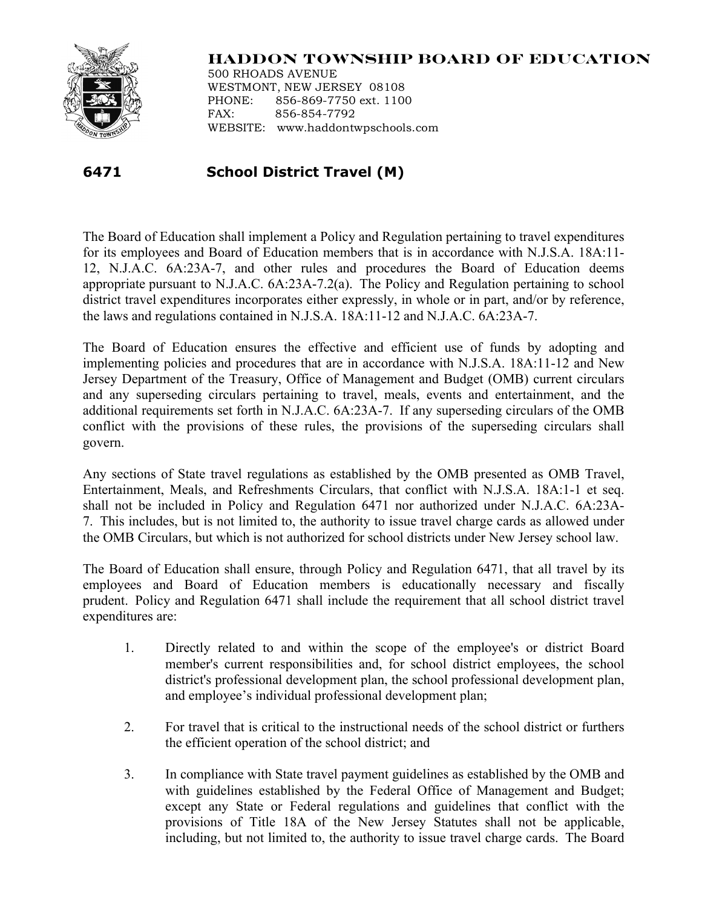

## **HADDON TOWNSHIP BOARD OF EDUCATION**

500 RHOADS AVENUE WESTMONT, NEW JERSEY 08108 PHONE: 856-869-7750 ext. 1100 FAX: 856-854-7792 WEBSITE: www.haddontwpschools.com

## **6471 School District Travel (M)**

The Board of Education shall implement a Policy and Regulation pertaining to travel expenditures for its employees and Board of Education members that is in accordance with N.J.S.A. 18A:11- 12, N.J.A.C. 6A:23A-7, and other rules and procedures the Board of Education deems appropriate pursuant to N.J.A.C. 6A:23A-7.2(a). The Policy and Regulation pertaining to school district travel expenditures incorporates either expressly, in whole or in part, and/or by reference, the laws and regulations contained in N.J.S.A. 18A:11-12 and N.J.A.C. 6A:23A-7.

The Board of Education ensures the effective and efficient use of funds by adopting and implementing policies and procedures that are in accordance with N.J.S.A. 18A:11-12 and New Jersey Department of the Treasury, Office of Management and Budget (OMB) current circulars and any superseding circulars pertaining to travel, meals, events and entertainment, and the additional requirements set forth in N.J.A.C. 6A:23A-7. If any superseding circulars of the OMB conflict with the provisions of these rules, the provisions of the superseding circulars shall govern.

Any sections of State travel regulations as established by the OMB presented as OMB Travel, Entertainment, Meals, and Refreshments Circulars, that conflict with N.J.S.A. 18A:1-1 et seq. shall not be included in Policy and Regulation 6471 nor authorized under N.J.A.C. 6A:23A-7. This includes, but is not limited to, the authority to issue travel charge cards as allowed under the OMB Circulars, but which is not authorized for school districts under New Jersey school law.

The Board of Education shall ensure, through Policy and Regulation 6471, that all travel by its employees and Board of Education members is educationally necessary and fiscally prudent. Policy and Regulation 6471 shall include the requirement that all school district travel expenditures are:

- 1. Directly related to and within the scope of the employee's or district Board member's current responsibilities and, for school district employees, the school district's professional development plan, the school professional development plan, and employee's individual professional development plan;
- 2. For travel that is critical to the instructional needs of the school district or furthers the efficient operation of the school district; and
- 3. In compliance with State travel payment guidelines as established by the OMB and with guidelines established by the Federal Office of Management and Budget; except any State or Federal regulations and guidelines that conflict with the provisions of Title 18A of the New Jersey Statutes shall not be applicable, including, but not limited to, the authority to issue travel charge cards. The Board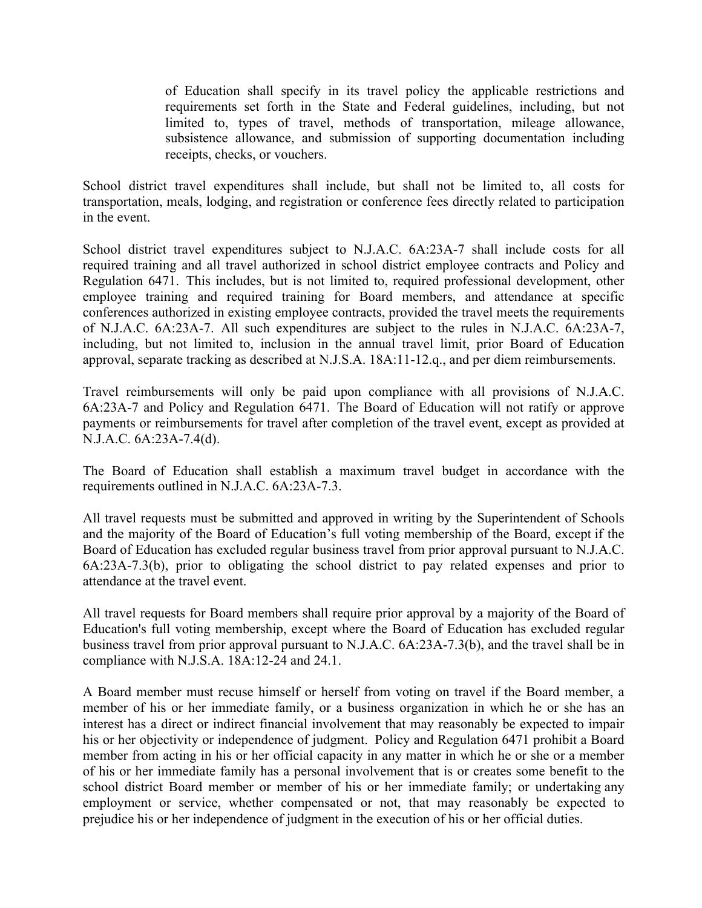of Education shall specify in its travel policy the applicable restrictions and requirements set forth in the State and Federal guidelines, including, but not limited to, types of travel, methods of transportation, mileage allowance, subsistence allowance, and submission of supporting documentation including receipts, checks, or vouchers.

School district travel expenditures shall include, but shall not be limited to, all costs for transportation, meals, lodging, and registration or conference fees directly related to participation in the event.

School district travel expenditures subject to N.J.A.C. 6A:23A-7 shall include costs for all required training and all travel authorized in school district employee contracts and Policy and Regulation 6471. This includes, but is not limited to, required professional development, other employee training and required training for Board members, and attendance at specific conferences authorized in existing employee contracts, provided the travel meets the requirements of N.J.A.C. 6A:23A-7. All such expenditures are subject to the rules in N.J.A.C. 6A:23A-7, including, but not limited to, inclusion in the annual travel limit, prior Board of Education approval, separate tracking as described at N.J.S.A. 18A:11-12.q., and per diem reimbursements.

Travel reimbursements will only be paid upon compliance with all provisions of N.J.A.C. 6A:23A-7 and Policy and Regulation 6471. The Board of Education will not ratify or approve payments or reimbursements for travel after completion of the travel event, except as provided at N.J.A.C. 6A:23A-7.4(d).

The Board of Education shall establish a maximum travel budget in accordance with the requirements outlined in N.J.A.C. 6A:23A-7.3.

All travel requests must be submitted and approved in writing by the Superintendent of Schools and the majority of the Board of Education's full voting membership of the Board, except if the Board of Education has excluded regular business travel from prior approval pursuant to N.J.A.C. 6A:23A-7.3(b), prior to obligating the school district to pay related expenses and prior to attendance at the travel event.

All travel requests for Board members shall require prior approval by a majority of the Board of Education's full voting membership, except where the Board of Education has excluded regular business travel from prior approval pursuant to N.J.A.C. 6A:23A-7.3(b), and the travel shall be in compliance with N.J.S.A. 18A:12-24 and 24.1.

A Board member must recuse himself or herself from voting on travel if the Board member, a member of his or her immediate family, or a business organization in which he or she has an interest has a direct or indirect financial involvement that may reasonably be expected to impair his or her objectivity or independence of judgment. Policy and Regulation 6471 prohibit a Board member from acting in his or her official capacity in any matter in which he or she or a member of his or her immediate family has a personal involvement that is or creates some benefit to the school district Board member or member of his or her immediate family; or undertaking any employment or service, whether compensated or not, that may reasonably be expected to prejudice his or her independence of judgment in the execution of his or her official duties.